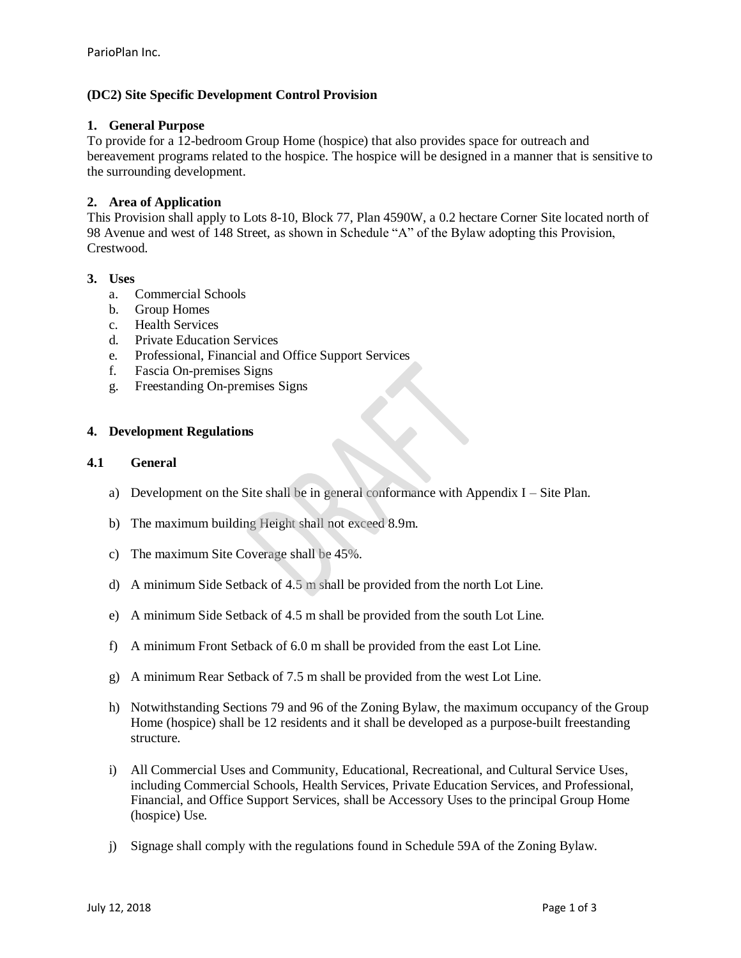# **(DC2) Site Specific Development Control Provision**

# **1. General Purpose**

To provide for a 12-bedroom Group Home (hospice) that also provides space for outreach and bereavement programs related to the hospice. The hospice will be designed in a manner that is sensitive to the surrounding development.

# **2. Area of Application**

This Provision shall apply to Lots 8-10, Block 77, Plan 4590W, a 0.2 hectare Corner Site located north of 98 Avenue and west of 148 Street, as shown in Schedule "A" of the Bylaw adopting this Provision, Crestwood.

# **3. Uses**

- a. Commercial Schools
- b. Group Homes
- c. Health Services
- d. Private Education Services
- e. Professional, Financial and Office Support Services
- f. Fascia On-premises Signs
- g. Freestanding On-premises Signs

# **4. Development Regulations**

#### **4.1 General**

- a) Development on the Site shall be in general conformance with Appendix I Site Plan.
- b) The maximum building Height shall not exceed 8.9m.
- c) The maximum Site Coverage shall be 45%.
- d) A minimum Side Setback of 4.5 m shall be provided from the north Lot Line.
- e) A minimum Side Setback of 4.5 m shall be provided from the south Lot Line.
- f) A minimum Front Setback of 6.0 m shall be provided from the east Lot Line.
- g) A minimum Rear Setback of 7.5 m shall be provided from the west Lot Line.
- h) Notwithstanding Sections 79 and 96 of the Zoning Bylaw, the maximum occupancy of the Group Home (hospice) shall be 12 residents and it shall be developed as a purpose-built freestanding structure.
- i) All Commercial Uses and Community, Educational, Recreational, and Cultural Service Uses, including Commercial Schools, Health Services, Private Education Services, and Professional, Financial, and Office Support Services, shall be Accessory Uses to the principal Group Home (hospice) Use.
- j) Signage shall comply with the regulations found in Schedule 59A of the Zoning Bylaw.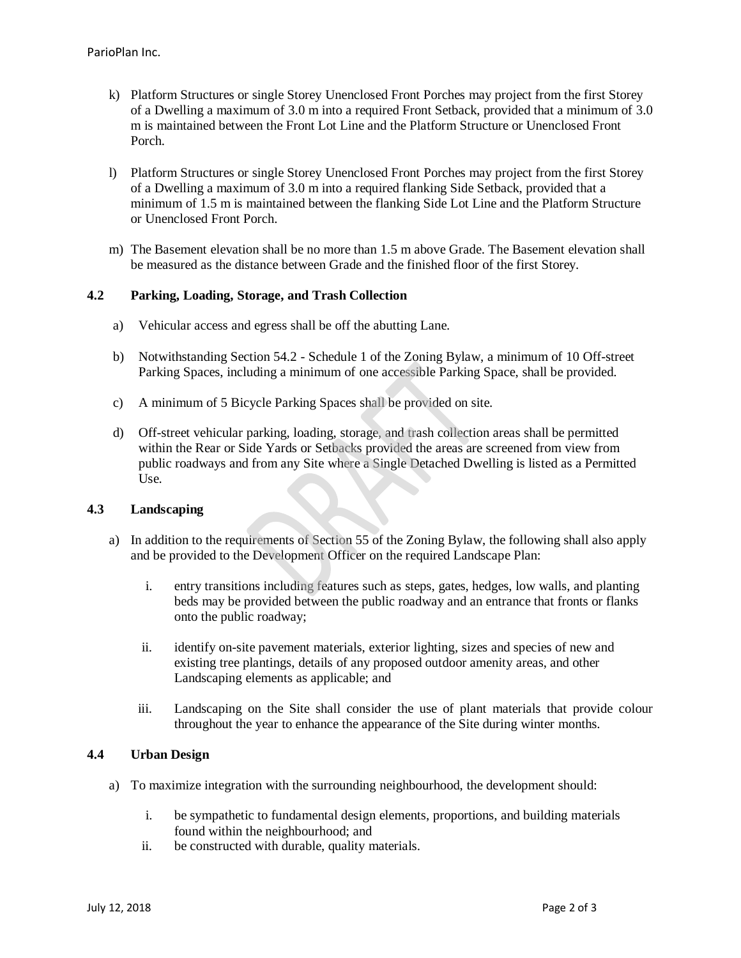- k) Platform Structures or single Storey Unenclosed Front Porches may project from the first Storey of a Dwelling a maximum of [3.0](javascript:void(0);) m into a required Front Setback, provided that a minimum of [3.0](javascript:void(0);)  [m](javascript:void(0);) is maintained between the Front Lot Line and the Platform Structure or Unenclosed Front Porch.
- l) Platform Structures or single Storey Unenclosed Front Porches may project from the first Storey of a Dwelling a maximum of [3.0](javascript:void(0);) m into a required flanking Side Setback, provided that a minimum of [1.5 m](javascript:void(0);) is maintained between the flanking Side Lot Line and the Platform Structure or Unenclosed Front Porch.
- m) The Basement elevation shall be no more than [1.5 m](javascript:void(0);) above Grade. The Basement elevation shall be measured as the distance between Grade and the finished floor of the first Storey.

# **4.2 Parking, Loading, Storage, and Trash Collection**

- a) Vehicular access and egress shall be off the abutting Lane.
- b) Notwithstanding Section 54.2 Schedule 1 of the Zoning Bylaw, a minimum of 10 Off-street Parking Spaces, including a minimum of one accessible Parking Space, shall be provided.
- c) A minimum of 5 Bicycle Parking Spaces shall be provided on site.
- d) Off-street vehicular parking, loading, storage, and trash collection areas shall be permitted within the Rear or Side Yards or Setbacks provided the areas are screened from view from public roadways and from any Site where a Single Detached Dwelling is listed as a Permitted Use.

## **4.3 Landscaping**

- a) In addition to the requirements of Section 55 of the Zoning Bylaw, the following shall also apply and be provided to the Development Officer on the required Landscape Plan:
	- i. entry transitions including features such as steps, gates, hedges, low walls, and planting beds may be provided between the public roadway and an entrance that fronts or flanks onto the public roadway;
	- ii. identify on-site pavement materials, exterior lighting, sizes and species of new and existing tree plantings, details of any proposed outdoor amenity areas, and other Landscaping elements as applicable; and
	- iii. Landscaping on the Site shall consider the use of plant materials that provide colour throughout the year to enhance the appearance of the Site during winter months.

# **4.4 Urban Design**

- a) To maximize integration with the surrounding neighbourhood, the development should:
	- i. be sympathetic to fundamental design elements, proportions, and building materials found within the neighbourhood; and
	- ii. be constructed with durable, quality materials.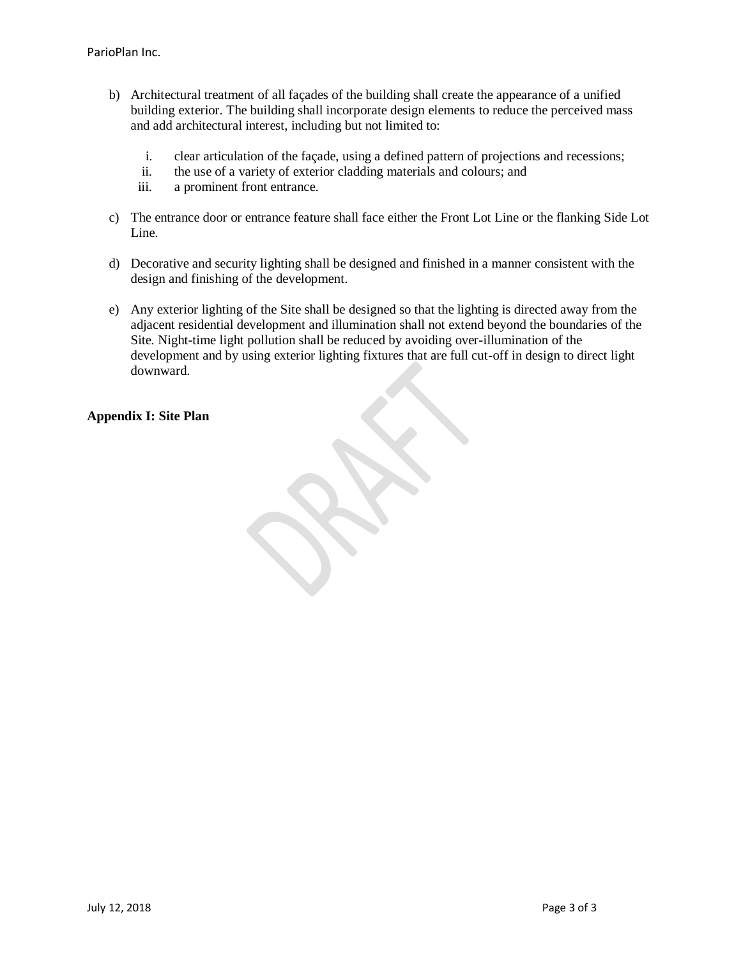- b) Architectural treatment of all façades of the building shall create the appearance of a unified building exterior. The building shall incorporate design elements to reduce the perceived mass and add architectural interest, including but not limited to:
	- i. clear articulation of the façade, using a defined pattern of projections and recessions;
	- ii. the use of a variety of exterior cladding materials and colours; and
	- iii. a prominent front entrance.
- c) The entrance door or entrance feature shall face either the Front Lot Line or the flanking Side Lot Line.
- d) Decorative and security lighting shall be designed and finished in a manner consistent with the design and finishing of the development.
- e) Any exterior lighting of the Site shall be designed so that the lighting is directed away from the adjacent residential development and illumination shall not extend beyond the boundaries of the Site. Night-time light pollution shall be reduced by avoiding over-illumination of the development and by using exterior lighting fixtures that are full cut-off in design to direct light downward.

# **Appendix I: Site Plan**